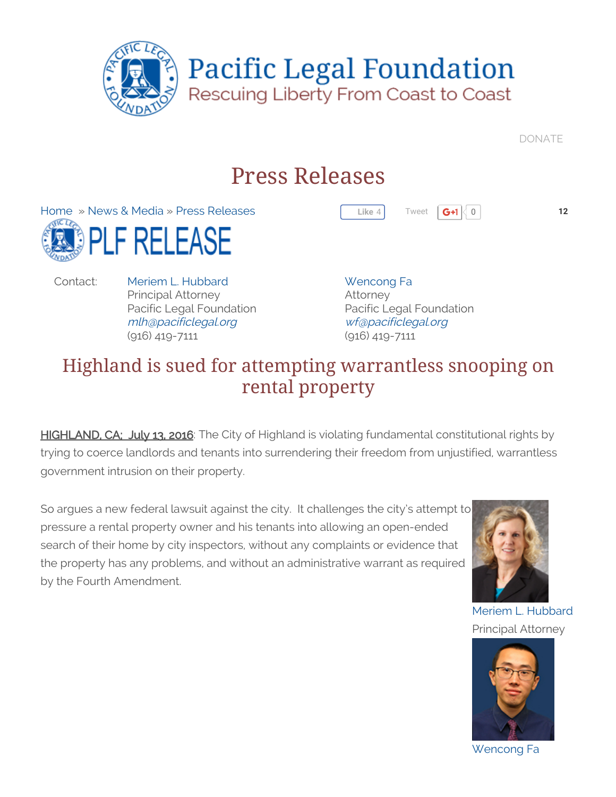

[DONATE](http://www.pacificlegal.org/page.aspx?pid=3758)

[Tweet](https://twitter.com/intent/tweet?original_referer=http%3A%2F%2Fwww.pacificlegal.org%2Freleases%2Frelease-7-13-16-trautwein-4-1561&ref_src=twsrc%5Etfw&related=PLFMedia%2C%20TheCoastWatch&text=Releases%7C%207-13-16%20Highland%20is%20sued%20for%20attempting%20warrantless%20snooping%20on%20rental%20property%20-%20Pacific%20Legal%20Foundation%3A&tw_p=tweetbutton&url=http%3A%2F%2Fwww.pacificlegal.org%2Freleases%2Frelease-7-13-16-trautwein-4-1561%23.V5GgL0uobAc.twitter&via=PacificLegal)  $\boxed{G+1}$  0 12

# Press Releases

[Home](http://www.pacificlegal.org/home) » News & [Media](http://www.pacificlegal.org/releases) » Press [Releases](http://www.pacificlegal.org/releases) LF RELEASE

Contact: Meriem L. [Hubbard](http://www.pacificlegal.org/staff/Meriem-Hubbard) Principal Attorney Pacific Legal Foundation [mlh@pacificlegal.org](mailto:mlh@pacificlegal.org) (916) 419-7111

[Wencong](http://www.pacificlegal.org/staff/wen-fa) Fa Attorney Pacific Legal Foundation [wf@pacificlegal.org](mailto:wf@pacificlegal.org) (916) 419-7111

**Like** 4

# Highland is sued for attempting warrantless snooping on rental property

HIGHLAND, CA; July 13, 2016: The City of Highland is violating fundamental constitutional rights by trying to coerce landlords and tenants into surrendering their freedom from unjustified, warrantless government intrusion on their property.

So argues a new federal lawsuit against the city. It challenges the city's attempt to pressure a rental property owner and his tenants into allowing an open-ended search of their home by city inspectors, without any complaints or evidence that the property has any problems, and without an administrative warrant as required by the Fourth Amendment.



Meriem L. [Hubbard](http://www.pacificlegal.org/staff/Meriem-Hubbard) Principal Attorney



[Wencong](http://www.pacificlegal.org/staff/wen-fa) Fa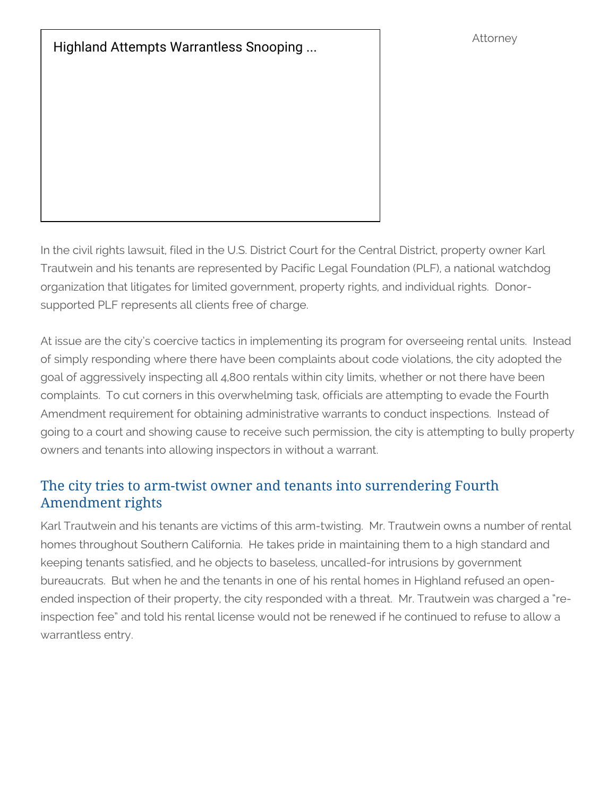Highland Attempts [Warrantless](https://www.youtube.com/watch?v=yNj8qAFn7UM) Snooping ... **Attorney** 

In the civil rights lawsuit, filed in the U.S. District Court for the Central District, property owner Karl Trautwein and his tenants are represented by Pacific Legal Foundation (PLF), a national watchdog organization that litigates for limited government, property rights, and individual rights. Donorsupported PLF represents all clients free of charge.

At issue are the city's coercive tactics in implementing its program for overseeing rental units. Instead of simply responding where there have been complaints about code violations, the city adopted the goal of aggressively inspecting all 4,800 rentals within city limits, whether or not there have been complaints. To cut corners in this overwhelming task, officials are attempting to evade the Fourth Amendment requirement for obtaining administrative warrants to conduct inspections. Instead of going to a court and showing cause to receive such permission, the city is attempting to bully property owners and tenants into allowing inspectors in without a warrant.

#### The city tries to arm-twist owner and tenants into surrendering Fourth Amendment rights

Karl Trautwein and his tenants are victims of this arm-twisting. Mr. Trautwein owns a number of rental homes throughout Southern California. He takes pride in maintaining them to a high standard and keeping tenants satisfied, and he objects to baseless, uncalled-for intrusions by government bureaucrats. But when he and the tenants in one of his rental homes in Highland refused an openended inspection of their property, the city responded with a threat. Mr. Trautwein was charged a "reinspection fee" and told his rental license would not be renewed if he continued to refuse to allow a warrantless entry.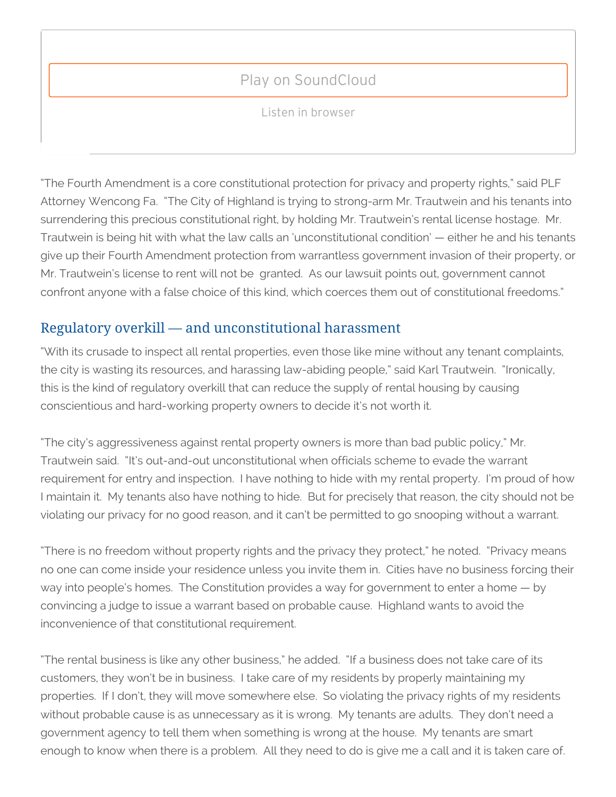## Play on [SoundCloud](intent://tracks:273529130#Intent;scheme=soundcloud;package=com.soundcloud.android;end)

Fighting [Warrantless](https://soundcloud.com/courting-liberty/fighting-warrantless-inspections-of-rental-property) Inspections Of Rental Property

Listen in browser

"The Fourth Amendment is a core constitutional protection for privacy and property rights," said PLF Attorney Wencong Fa. "The City of Highland is trying to strong-arm Mr. Trautwein and his tenants into surrendering this precious constitutional right, by holding Mr. Trautwein's rental license hostage. Mr. Trautwein is being hit with what the law calls an 'unconstitutional condition' — either he and his tenants give up their Fourth Amendment protection from warrantless government invasion of their property, or Mr. Trautwein's license to rent will not be granted. As our lawsuit points out, government cannot confront anyone with a false choice of this kind, which coerces them out of constitutional freedoms."

### Regulatory overkill — and unconstitutional harassment

"With its crusade to inspect all rental properties, even those like mine without any tenant complaints, the city is wasting its resources, and harassing law-abiding people," said Karl Trautwein. "Ironically, this is the kind of regulatory overkill that can reduce the supply of rental housing by causing conscientious and hard-working property owners to decide it's not worth it.

"The city's aggressiveness against rental property owners is more than bad public policy," Mr. Trautwein said. "It's out-and-out unconstitutional when officials scheme to evade the warrant requirement for entry and inspection. I have nothing to hide with my rental property. I'm proud of how I maintain it. My tenants also have nothing to hide. But for precisely that reason, the city should not be violating our privacy for no good reason, and it can't be permitted to go snooping without a warrant.

"There is no freedom without property rights and the privacy they protect," he noted. "Privacy means no one can come inside your residence unless you invite them in. Cities have no business forcing their way into people's homes. The Constitution provides a way for government to enter a home — by convincing a judge to issue a warrant based on probable cause. Highland wants to avoid the inconvenience of that constitutional requirement.

"The rental business is like any other business," he added. "If a business does not take care of its customers, they won't be in business. I take care of my residents by properly maintaining my properties. If I don't, they will move somewhere else. So violating the privacy rights of my residents without probable cause is as unnecessary as it is wrong. My tenants are adults. They don't need a government agency to tell them when something is wrong at the house. My tenants are smart enough to know when there is a problem. All they need to do is give me a call and it is taken care of.